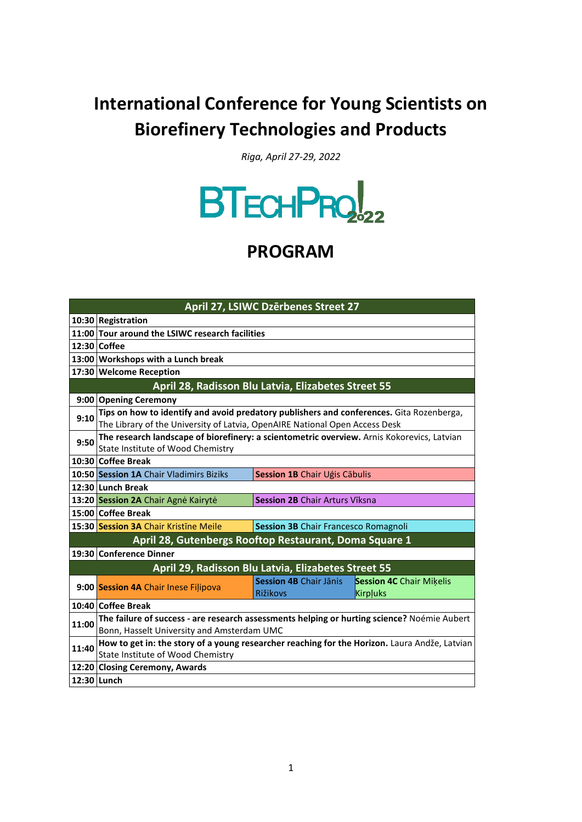## **International Conference for Young Scientists on Biorefinery Technologies and Products**

*Riga, April 27-29, 2022*



## **PROGRAM**

| April 27, LSIWC Dzērbenes Street 27                    |                                                                                               |                                             |                                 |  |  |  |
|--------------------------------------------------------|-----------------------------------------------------------------------------------------------|---------------------------------------------|---------------------------------|--|--|--|
|                                                        | 10:30 Registration                                                                            |                                             |                                 |  |  |  |
|                                                        | 11:00 Tour around the LSIWC research facilities                                               |                                             |                                 |  |  |  |
|                                                        | 12:30 Coffee                                                                                  |                                             |                                 |  |  |  |
|                                                        | 13:00 Workshops with a Lunch break                                                            |                                             |                                 |  |  |  |
|                                                        | 17:30 Welcome Reception                                                                       |                                             |                                 |  |  |  |
| April 28, Radisson Blu Latvia, Elizabetes Street 55    |                                                                                               |                                             |                                 |  |  |  |
|                                                        | 9:00 Opening Ceremony                                                                         |                                             |                                 |  |  |  |
|                                                        | Tips on how to identify and avoid predatory publishers and conferences. Gita Rozenberga,      |                                             |                                 |  |  |  |
| 9:10                                                   | The Library of the University of Latvia, OpenAIRE National Open Access Desk                   |                                             |                                 |  |  |  |
| 9:50                                                   | The research landscape of biorefinery: a scientometric overview. Arnis Kokorevics, Latvian    |                                             |                                 |  |  |  |
|                                                        | State Institute of Wood Chemistry                                                             |                                             |                                 |  |  |  |
|                                                        | 10:30 Coffee Break                                                                            |                                             |                                 |  |  |  |
|                                                        | 10:50 Session 1A Chair Vladimirs Biziks                                                       | Session 1B Chair Ugis Cābulis               |                                 |  |  |  |
|                                                        | 12:30 Lunch Break                                                                             |                                             |                                 |  |  |  |
|                                                        | 13:20 Session 2A Chair Agne Kairyte                                                           | <b>Session 2B Chair Arturs Viksna</b>       |                                 |  |  |  |
|                                                        | 15:00 Coffee Break                                                                            |                                             |                                 |  |  |  |
|                                                        | 15:30 Session 3A Chair Kristine Meile                                                         | <b>Session 3B Chair Francesco Romagnoli</b> |                                 |  |  |  |
| April 28, Gutenbergs Rooftop Restaurant, Doma Square 1 |                                                                                               |                                             |                                 |  |  |  |
|                                                        | 19:30 Conference Dinner                                                                       |                                             |                                 |  |  |  |
|                                                        | April 29, Radisson Blu Latvia, Elizabetes Street 55                                           |                                             |                                 |  |  |  |
|                                                        | 9:00 Session 4A Chair Inese Filipova                                                          | Session 4B Chair Jānis                      | <b>Session 4C</b> Chair Mikelis |  |  |  |
|                                                        |                                                                                               | <b>Rižikovs</b>                             | Kirpļuks                        |  |  |  |
|                                                        | 10:40 Coffee Break                                                                            |                                             |                                 |  |  |  |
|                                                        | The failure of success - are research assessments helping or hurting science? Noémie Aubert   |                                             |                                 |  |  |  |
| 11:00                                                  | Bonn, Hasselt University and Amsterdam UMC                                                    |                                             |                                 |  |  |  |
| 11:40                                                  | How to get in: the story of a young researcher reaching for the Horizon. Laura Andže, Latvian |                                             |                                 |  |  |  |
|                                                        | State Institute of Wood Chemistry                                                             |                                             |                                 |  |  |  |
|                                                        | 12:20 Closing Ceremony, Awards                                                                |                                             |                                 |  |  |  |
|                                                        | 12:30 Lunch                                                                                   |                                             |                                 |  |  |  |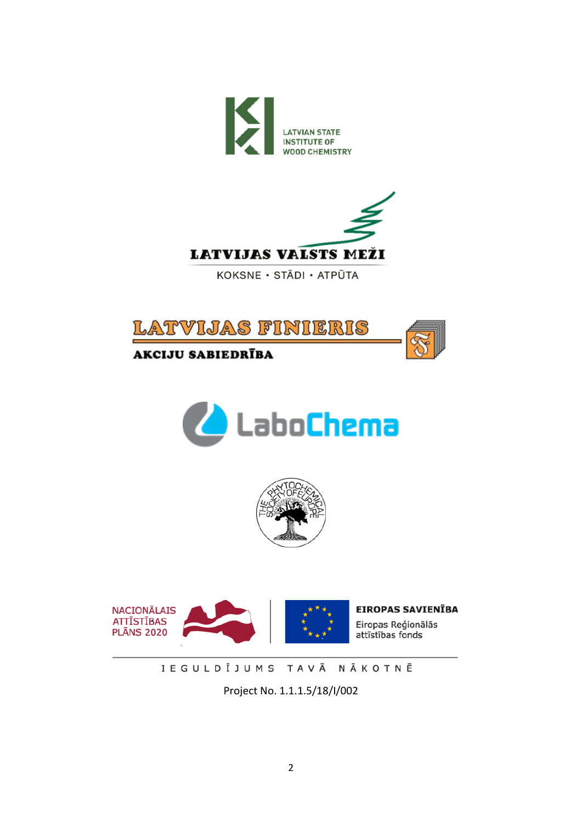



KOKSNE · STĀDI · ATPŪTA









IEGULDĪJUMS TAVĀ NĀKOTNĒ

Project No. 1.1.1.5/18/I/002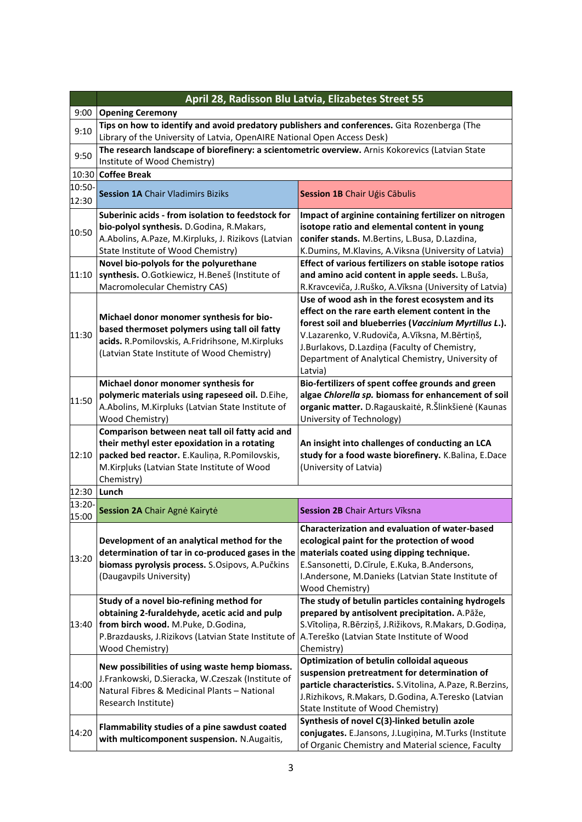|                 | April 28, Radisson Blu Latvia, Elizabetes Street 55                                                                                                                                                           |                                                                                                                                                                                                                                                                                                                               |  |  |  |
|-----------------|---------------------------------------------------------------------------------------------------------------------------------------------------------------------------------------------------------------|-------------------------------------------------------------------------------------------------------------------------------------------------------------------------------------------------------------------------------------------------------------------------------------------------------------------------------|--|--|--|
| 9:00            | <b>Opening Ceremony</b>                                                                                                                                                                                       |                                                                                                                                                                                                                                                                                                                               |  |  |  |
| 9:10            | Tips on how to identify and avoid predatory publishers and conferences. Gita Rozenberga (The<br>Library of the University of Latvia, OpenAIRE National Open Access Desk)                                      |                                                                                                                                                                                                                                                                                                                               |  |  |  |
| 9:50            | The research landscape of biorefinery: a scientometric overview. Arnis Kokorevics (Latvian State<br>Institute of Wood Chemistry)                                                                              |                                                                                                                                                                                                                                                                                                                               |  |  |  |
| 10:30           | <b>Coffee Break</b>                                                                                                                                                                                           |                                                                                                                                                                                                                                                                                                                               |  |  |  |
| 10:50-<br>12:30 | <b>Session 1A Chair Vladimirs Biziks</b>                                                                                                                                                                      | Session 1B Chair Ugis Cābulis                                                                                                                                                                                                                                                                                                 |  |  |  |
| 10:50           | Suberinic acids - from isolation to feedstock for<br>bio-polyol synthesis. D.Godina, R.Makars,<br>A.Abolins, A.Paze, M.Kirpluks, J. Rizikovs (Latvian<br>State Institute of Wood Chemistry)                   | Impact of arginine containing fertilizer on nitrogen<br>isotope ratio and elemental content in young<br>conifer stands. M.Bertins, L.Busa, D.Lazdina,<br>K.Dumins, M.Klavins, A.Viksna (University of Latvia)                                                                                                                 |  |  |  |
| 11:10           | Novel bio-polyols for the polyurethane<br>synthesis. O.Gotkiewicz, H.Beneš (Institute of<br>Macromolecular Chemistry CAS)                                                                                     | Effect of various fertilizers on stable isotope ratios<br>and amino acid content in apple seeds. L.Buša,<br>R.Kravceviča, J.Ruško, A.Vīksna (University of Latvia)                                                                                                                                                            |  |  |  |
| 11:30           | Michael donor monomer synthesis for bio-<br>based thermoset polymers using tall oil fatty<br>acids. R.Pomilovskis, A.Fridrihsone, M.Kirpluks<br>(Latvian State Institute of Wood Chemistry)                   | Use of wood ash in the forest ecosystem and its<br>effect on the rare earth element content in the<br>forest soil and blueberries (Vaccinium Myrtillus L.).<br>V.Lazarenko, V.Rudoviča, A.Vīksna, M.Bērtiņš,<br>J.Burlakovs, D.Lazdiņa (Faculty of Chemistry,<br>Department of Analytical Chemistry, University of<br>Latvia) |  |  |  |
| 11:50           | Michael donor monomer synthesis for<br>polymeric materials using rapeseed oil. D.Eihe,<br>A.Abolins, M.Kirpluks (Latvian State Institute of<br>Wood Chemistry)                                                | Bio-fertilizers of spent coffee grounds and green<br>algae Chlorella sp. biomass for enhancement of soil<br>organic matter. D.Ragauskaitė, R.Šlinkšienė (Kaunas<br>University of Technology)                                                                                                                                  |  |  |  |
| 12:10           | Comparison between neat tall oil fatty acid and<br>their methyl ester epoxidation in a rotating<br>packed bed reactor. E.Kauliņa, R.Pomilovskis,<br>M.Kirpļuks (Latvian State Institute of Wood<br>Chemistry) | An insight into challenges of conducting an LCA<br>study for a food waste biorefinery. K.Balina, E.Dace<br>(University of Latvia)                                                                                                                                                                                             |  |  |  |
| 12:30           | Lunch                                                                                                                                                                                                         |                                                                                                                                                                                                                                                                                                                               |  |  |  |
| 13:20-          | Session 2A Chair Agnė Kairytė                                                                                                                                                                                 | <b>Session 2B Chair Arturs Viksna</b>                                                                                                                                                                                                                                                                                         |  |  |  |
| 15:00           |                                                                                                                                                                                                               |                                                                                                                                                                                                                                                                                                                               |  |  |  |
| 13:20           | Development of an analytical method for the<br>determination of tar in co-produced gases in the<br>biomass pyrolysis process. S.Osipovs, A.Pučkins<br>(Daugavpils University)                                 | <b>Characterization and evaluation of water-based</b><br>ecological paint for the protection of wood<br>materials coated using dipping technique.<br>E.Sansonetti, D.Cīrule, E.Kuka, B.Andersons,<br>I.Andersone, M.Danieks (Latvian State Institute of<br>Wood Chemistry)                                                    |  |  |  |
| 13:40           | Study of a novel bio-refining method for<br>obtaining 2-furaldehyde, acetic acid and pulp<br>from birch wood. M.Puke, D.Godina,<br>P.Brazdausks, J.Rizikovs (Latvian State Institute of<br>Wood Chemistry)    | The study of betulin particles containing hydrogels<br>prepared by antisolvent precipitation. A.Pāže,<br>S. Vītoliņa, R. Bērziņš, J. Rižikovs, R. Makars, D. Godiņa,<br>A. Tereško (Latvian State Institute of Wood<br>Chemistry)                                                                                             |  |  |  |
| 14:00           | New possibilities of using waste hemp biomass.<br>J.Frankowski, D.Sieracka, W.Czeszak (Institute of<br>Natural Fibres & Medicinal Plants - National<br>Research Institute)                                    | <b>Optimization of betulin colloidal aqueous</b><br>suspension pretreatment for determination of<br>particle characteristics. S.Vitolina, A.Paze, R.Berzins,<br>J.Rizhikovs, R.Makars, D.Godina, A.Teresko (Latvian<br>State Institute of Wood Chemistry)                                                                     |  |  |  |
| 14:20           | Flammability studies of a pine sawdust coated<br>with multicomponent suspension. N.Augaitis,                                                                                                                  | Synthesis of novel C(3)-linked betulin azole<br>conjugates. E.Jansons, J.Lugiņina, M.Turks (Institute<br>of Organic Chemistry and Material science, Faculty                                                                                                                                                                   |  |  |  |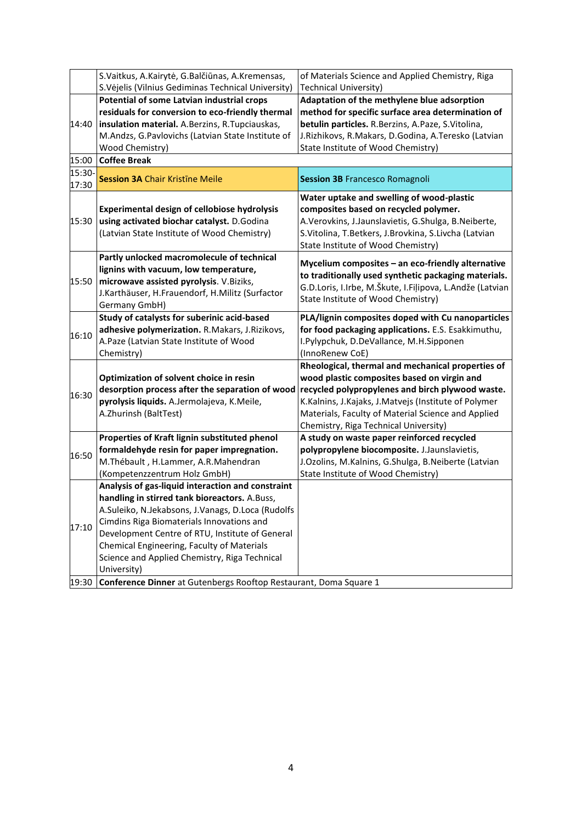|                | S. Vaitkus, A. Kairytė, G. Balčiūnas, A. Kremensas,               | of Materials Science and Applied Chemistry, Riga         |
|----------------|-------------------------------------------------------------------|----------------------------------------------------------|
|                | S. Vėjelis (Vilnius Gediminas Technical University)               | <b>Technical University)</b>                             |
|                | Potential of some Latvian industrial crops                        | Adaptation of the methylene blue adsorption              |
|                | residuals for conversion to eco-friendly thermal                  | method for specific surface area determination of        |
| 14:40          | insulation material. A.Berzins, R.Tupciauskas,                    | betulin particles. R.Berzins, A.Paze, S.Vitolina,        |
|                | M.Andzs, G.Pavlovichs (Latvian State Institute of                 | J.Rizhikovs, R.Makars, D.Godina, A.Teresko (Latvian      |
|                | Wood Chemistry)                                                   | State Institute of Wood Chemistry)                       |
| 15:00          | <b>Coffee Break</b>                                               |                                                          |
| 15:30-         |                                                                   |                                                          |
| 17:30          | <b>Session 3A Chair Kristine Meile</b>                            | <b>Session 3B Francesco Romagnoli</b>                    |
|                |                                                                   | Water uptake and swelling of wood-plastic                |
|                | <b>Experimental design of cellobiose hydrolysis</b>               | composites based on recycled polymer.                    |
| 15:30          | using activated biochar catalyst. D.Godina                        | A.Verovkins, J.Jaunslavietis, G.Shulga, B.Neiberte,      |
|                | (Latvian State Institute of Wood Chemistry)                       | S.Vitolina, T.Betkers, J.Brovkina, S.Livcha (Latvian     |
|                |                                                                   | State Institute of Wood Chemistry)                       |
|                | Partly unlocked macromolecule of technical                        | Mycelium composites - an eco-friendly alternative        |
|                | lignins with vacuum, low temperature,                             | to traditionally used synthetic packaging materials.     |
| 15:50<br>16:10 | microwave assisted pyrolysis. V.Biziks,                           | G.D.Loris, I.Irbe, M.Škute, I.Filipova, L.Andže (Latvian |
|                | J.Karthäuser, H.Frauendorf, H.Militz (Surfactor                   | State Institute of Wood Chemistry)                       |
|                | Germany GmbH)                                                     |                                                          |
|                | Study of catalysts for suberinic acid-based                       | PLA/lignin composites doped with Cu nanoparticles        |
|                | adhesive polymerization. R.Makars, J.Rizikovs,                    | for food packaging applications. E.S. Esakkimuthu,       |
|                | A.Paze (Latvian State Institute of Wood                           | I.Pylypchuk, D.DeVallance, M.H.Sipponen                  |
|                | Chemistry)                                                        | (InnoRenew CoE)                                          |
|                |                                                                   | Rheological, thermal and mechanical properties of        |
|                | Optimization of solvent choice in resin                           | wood plastic composites based on virgin and              |
| 16:30          | desorption process after the separation of wood                   | recycled polypropylenes and birch plywood waste.         |
|                | pyrolysis liquids. A.Jermolajeva, K.Meile,                        | K.Kalnins, J.Kajaks, J.Matvejs (Institute of Polymer     |
|                | A.Zhurinsh (BaltTest)                                             | Materials, Faculty of Material Science and Applied       |
|                |                                                                   | Chemistry, Riga Technical University)                    |
|                | Properties of Kraft lignin substituted phenol                     | A study on waste paper reinforced recycled               |
| 16:50          | formaldehyde resin for paper impregnation.                        | polypropylene biocomposite. J.Jaunslavietis,             |
|                | M.Thébault, H.Lammer, A.R.Mahendran                               | J.Ozolins, M.Kalnins, G.Shulga, B.Neiberte (Latvian      |
|                | (Kompetenzzentrum Holz GmbH)                                      | State Institute of Wood Chemistry)                       |
|                | Analysis of gas-liquid interaction and constraint                 |                                                          |
|                | handling in stirred tank bioreactors. A.Buss,                     |                                                          |
|                | A.Suleiko, N.Jekabsons, J.Vanags, D.Loca (Rudolfs                 |                                                          |
| 17:10          | Cimdins Riga Biomaterials Innovations and                         |                                                          |
|                | Development Centre of RTU, Institute of General                   |                                                          |
|                | Chemical Engineering, Faculty of Materials                        |                                                          |
|                | Science and Applied Chemistry, Riga Technical                     |                                                          |
|                | University)                                                       |                                                          |
| 19:30          | Conference Dinner at Gutenbergs Rooftop Restaurant, Doma Square 1 |                                                          |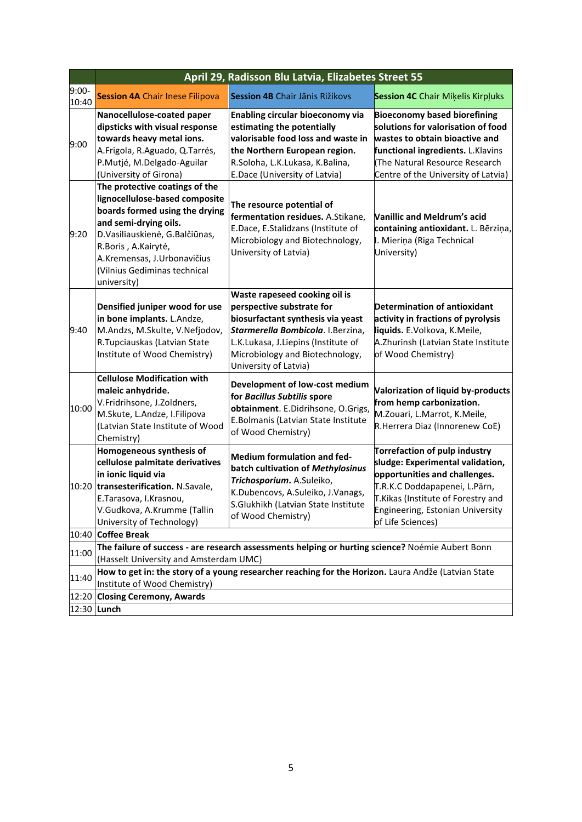|                  | April 29, Radisson Blu Latvia, Elizabetes Street 55                                                                                                                                                                                                                |                                                                                                                                                                                                                                         |                                                                                                                                                                                                                                    |  |  |  |
|------------------|--------------------------------------------------------------------------------------------------------------------------------------------------------------------------------------------------------------------------------------------------------------------|-----------------------------------------------------------------------------------------------------------------------------------------------------------------------------------------------------------------------------------------|------------------------------------------------------------------------------------------------------------------------------------------------------------------------------------------------------------------------------------|--|--|--|
| $9:00-$<br>10:40 | <b>Session 4A Chair Inese Filipova</b>                                                                                                                                                                                                                             | <b>Session 4B</b> Chair Jānis Rižikovs                                                                                                                                                                                                  | <b>Session 4C</b> Chair Mikelis Kirpluks                                                                                                                                                                                           |  |  |  |
| 9:00             | Nanocellulose-coated paper<br>dipsticks with visual response<br>towards heavy metal ions.<br>A.Frigola, R.Aguado, Q.Tarrés,<br>P.Mutjé, M.Delgado-Aguilar<br>(University of Girona)                                                                                | <b>Enabling circular bioeconomy via</b><br>estimating the potentially<br>valorisable food loss and waste in<br>the Northern European region.<br>R.Soloha, L.K.Lukasa, K.Balina,<br>E.Dace (University of Latvia)                        | <b>Bioeconomy based biorefining</b><br>solutions for valorisation of food<br>wastes to obtain bioactive and<br>functional ingredients. L.Klavins<br>(The Natural Resource Research<br>Centre of the University of Latvia)          |  |  |  |
| 9:20             | The protective coatings of the<br>lignocellulose-based composite<br>boards formed using the drying<br>and semi-drying oils.<br>D.Vasiliauskienė, G.Balčiūnas,<br>R.Boris, A.Kairytė,<br>A.Kremensas, J.Urbonavičius<br>(Vilnius Gediminas technical<br>university) | The resource potential of<br>fermentation residues. A.Stikane,<br>E.Dace, E.Stalidzans (Institute of<br>Microbiology and Biotechnology,<br>University of Latvia)                                                                        | <b>Vanillic and Meldrum's acid</b><br>containing antioxidant. L. Bērziņa,<br>I. Mieriņa (Riga Technical<br>University)                                                                                                             |  |  |  |
| 9:40             | Densified juniper wood for use<br>in bone implants. L.Andze,<br>M.Andzs, M.Skulte, V.Nefjodov,<br>R. Tupciauskas (Latvian State<br>Institute of Wood Chemistry)                                                                                                    | Waste rapeseed cooking oil is<br>perspective substrate for<br>biosurfactant synthesis via yeast<br>Starmerella Bombicola. I.Berzina,<br>L.K.Lukasa, J.Liepins (Institute of<br>Microbiology and Biotechnology,<br>University of Latvia) | <b>Determination of antioxidant</b><br>activity in fractions of pyrolysis<br>liquids. E.Volkova, K.Meile,<br>A.Zhurinsh (Latvian State Institute<br>of Wood Chemistry)                                                             |  |  |  |
| 10:00            | <b>Cellulose Modification with</b><br>maleic anhydride.<br>V.Fridrihsone, J.Zoldners,<br>M.Skute, L.Andze, I.Filipova<br>(Latvian State Institute of Wood<br>Chemistry)                                                                                            | Development of low-cost medium<br>for Bacillus Subtilis spore<br>obtainment. E.Didrihsone, O.Grigs,<br>E.Bolmanis (Latvian State Institute<br>of Wood Chemistry)                                                                        | Valorization of liquid by-products<br>from hemp carbonization.<br>M.Zouari, L.Marrot, K.Meile,<br>R.Herrera Diaz (Innorenew CoE)                                                                                                   |  |  |  |
|                  | Homogeneous synthesis of<br>cellulose palmitate derivatives<br>in ionic liquid via<br>10:20   transesterification. N.Savale,<br>E.Tarasova, I.Krasnou,<br>V.Gudkova, A.Krumme (Tallin<br>University of Technology)                                                 | Medium formulation and fed-<br>batch cultivation of Methylosinus<br>Trichosporium. A.Suleiko,<br>K.Dubencovs, A.Suleiko, J.Vanags,<br>S.Glukhikh (Latvian State Institute<br>of Wood Chemistry)                                         | Torrefaction of pulp industry<br>sludge: Experimental validation,<br>opportunities and challenges.<br>T.R.K.C Doddapapenei, L.Pärn,<br>T.Kikas (Institute of Forestry and<br>Engineering, Estonian University<br>of Life Sciences) |  |  |  |
|                  | 10:40 Coffee Break                                                                                                                                                                                                                                                 |                                                                                                                                                                                                                                         |                                                                                                                                                                                                                                    |  |  |  |
| 11:00            | The failure of success - are research assessments helping or hurting science? Noémie Aubert Bonn<br>(Hasselt University and Amsterdam UMC)                                                                                                                         |                                                                                                                                                                                                                                         |                                                                                                                                                                                                                                    |  |  |  |
| 11:40            | How to get in: the story of a young researcher reaching for the Horizon. Laura Andže (Latvian State<br>Institute of Wood Chemistry)                                                                                                                                |                                                                                                                                                                                                                                         |                                                                                                                                                                                                                                    |  |  |  |
| 12:20            | <b>Closing Ceremony, Awards</b>                                                                                                                                                                                                                                    |                                                                                                                                                                                                                                         |                                                                                                                                                                                                                                    |  |  |  |
|                  | 12:30 Lunch                                                                                                                                                                                                                                                        |                                                                                                                                                                                                                                         |                                                                                                                                                                                                                                    |  |  |  |